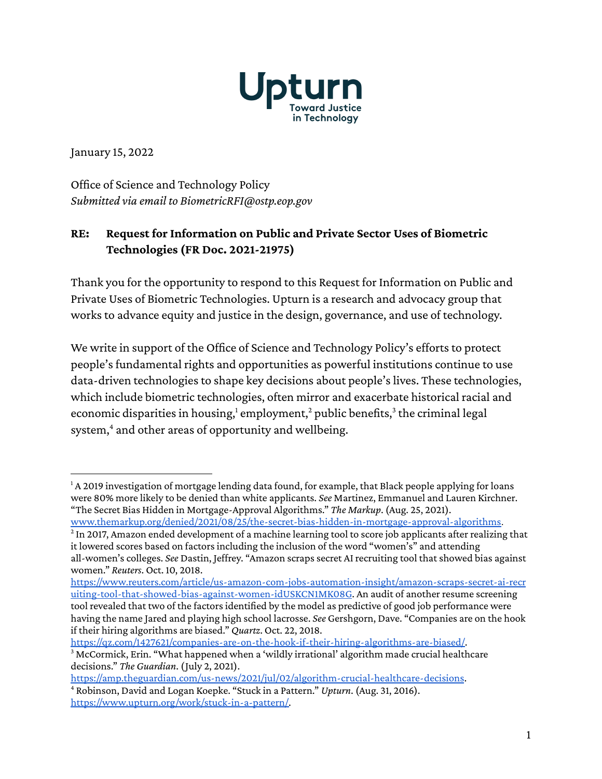

January 15, 2022

Office of Science and Technology Policy *Submitted via email to BiometricRFI@ostp.eop.gov*

#### **RE: Request for Information on Public and Private Sector Uses of Biometric Technologies (FR Doc. 2021-21975)**

Thank you for the opportunity to respond to this Request for Information on Public and Private Uses of Biometric Technologies. Upturn is a research and advocacy group that works to advance equity and justice in the design, governance, and use of technology.

We write in support of the Office of Science and Technology Policy's efforts to protect people's fundamental rights and opportunities as powerful institutions continue to use data-driven technologies to shape key decisions about people's lives. These technologies, which include biometric technologies, often mirror and exacerbate historical racial and economic disparities in housing,<sup>1</sup> employment,<sup>2</sup> public benefits,<sup>3</sup> the criminal legal system, <sup>4</sup> and other areas of opportunity and wellbeing.

<https://qz.com/1427621/companies-are-on-the-hook-if-their-hiring-algorithms-are-biased/>.

 $1$  A 2019 investigation of mortgage lending data found, for example, that Black people applying for loans were 80% more likely to be denied than white applicants. *See* Martinez, Emmanuel and Lauren Kirchner. "The Secret Bias Hidden in Mortgage-Approval Algorithms." *The Markup*. (Aug. 25, 2021).

[www.themarkup.org/denied/2021/08/25/the-secret-bias-hidden-in-mortgage-approval-algorithms](http://www.themarkup.org/denied/2021/08/25/the-secret-bias-hidden-in-mortgage-approval-algorithms).

 $^2$  In 2017, Amazon ended development of a machine learning tool to score job applicants after realizing that it lowered scores based on factors including the inclusion of the word "women's" and attending all-women's colleges. *See* Dastin, Jeffrey. "Amazon scraps secret AI recruiting tool that showed bias against women." *Reuters*. Oct. 10, 2018.

[https://www.reuters.com/article/us-amazon-com-jobs-automation-insight/amazon-scraps-secret-ai-recr](https://www.reuters.com/article/us-amazon-com-jobs-automation-insight/amazon-scraps-secret-ai-recruiting-tool-that-showed-bias-against-women-idUSKCN1MK08G) [uiting-tool-that-showed-bias-against-women-idUSKCN1MK08G](https://www.reuters.com/article/us-amazon-com-jobs-automation-insight/amazon-scraps-secret-ai-recruiting-tool-that-showed-bias-against-women-idUSKCN1MK08G). An audit of another resume screening tool revealed that two of the factors identified by the model as predictive of good job performance were having the name Jared and playing high school lacrosse. *See* Gershgorn, Dave. "Companies are on the hook if their hiring algorithms are biased." *Quartz*. Oct. 22, 2018.

<sup>&</sup>lt;sup>3</sup> McCormick, Erin. "What happened when a 'wildly irrational' algorithm made crucial healthcare decisions." *The Guardian*. (July 2, 2021).

<sup>4</sup> Robinson, David and Logan Koepke. "Stuck in a Pattern." *Upturn*. (Aug. 31, 2016). [https://www.upturn.org/work/stuck-in-a-pattern/.](https://www.upturn.org/work/stuck-in-a-pattern/) <https://amp.theguardian.com/us-news/2021/jul/02/algorithm-crucial-healthcare-decisions>.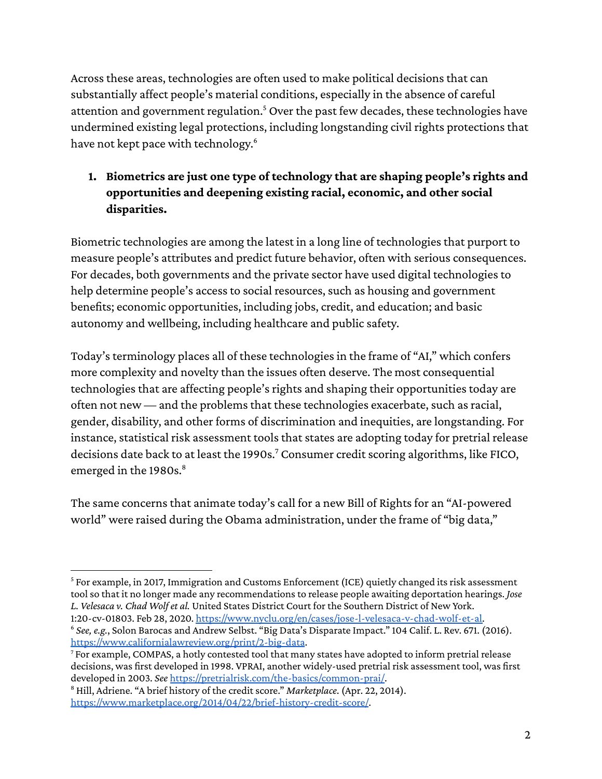Across these areas, technologies are often used to make political decisions that can substantially affect people's material conditions, especially in the absence of careful attention and government regulation. <sup>5</sup> Over the past few decades, these technologies have undermined existing legal protections, including longstanding civil rights protectionsthat have not kept pace with technology. 6

# **1. Biometrics are just one type of technology that are shaping people's rights and opportunities and deepening existing racial, economic, and other social disparities.**

Biometric technologies are among the latest in a long line of technologiesthat purport to measure people's attributes and predict future behavior, often with serious consequences. For decades, both governments and the private sector have used digital technologiesto help determine people's access to social resources, such as housing and government benefits; economic opportunities, including jobs, credit, and education; and basic autonomy and wellbeing, including healthcare and public safety.

Today's terminology places all of these technologies in the frame of "AI," which confers more complexity and novelty than the issues often deserve. The most consequential technologies that are affecting people's rights and shaping their opportunities today are often not new — and the problems that these technologies exacerbate, such as racial, gender, disability, and other forms of discrimination and inequities, are longstanding. For instance, statistical risk assessment tools that states are adopting today for pretrial release decisions date back to at least the 1990s.<sup>7</sup> Consumer credit scoring algorithms, like FICO, emerged in the 1980s. 8

The same concerns that animate today's call for a new Bill of Rights for an "AI-powered world" were raised during the Obama administration, under the frame of "big data,"

<sup>&</sup>lt;sup>5</sup> For example, in 2017, Immigration and Customs Enforcement (ICE) quietly changed its risk assessment toolso that it no longer made any recommendationsto release people awaiting deportation hearings. *Jose L. Velesaca v. Chad Wolfet al.* United States District Court for the Southern District of New York. 1:20-cv-01803. Feb 28, 2020. [https://www.nyclu.org/en/cases/jose-l-velesaca-v-chad-wolf-et-al.](https://www.nyclu.org/en/cases/jose-l-velesaca-v-chad-wolf-et-al)

<sup>&</sup>lt;sup>6</sup> See, e.g., Solon Barocas and Andrew Selbst. "Big Data's Disparate Impact." 104 Calif. L. Rev. 671. (2016). <https://www.californialawreview.org/print/2-big-data>.

<sup>7</sup> For example, COMPAS, a hotly contested tool that many states have adopted to inform pretrial release decisions, was first developed in 1998. VPRAI, another widely-used pretrial risk assessment tool, was first developed in 2003. *See* <https://pretrialrisk.com/the-basics/common-prai/>.

<sup>&</sup>lt;sup>8</sup> Hill, Adriene. "A brief history of the credit score." *Marketplace*. (Apr. 22, 2014). <https://www.marketplace.org/2014/04/22/brief-history-credit-score/>.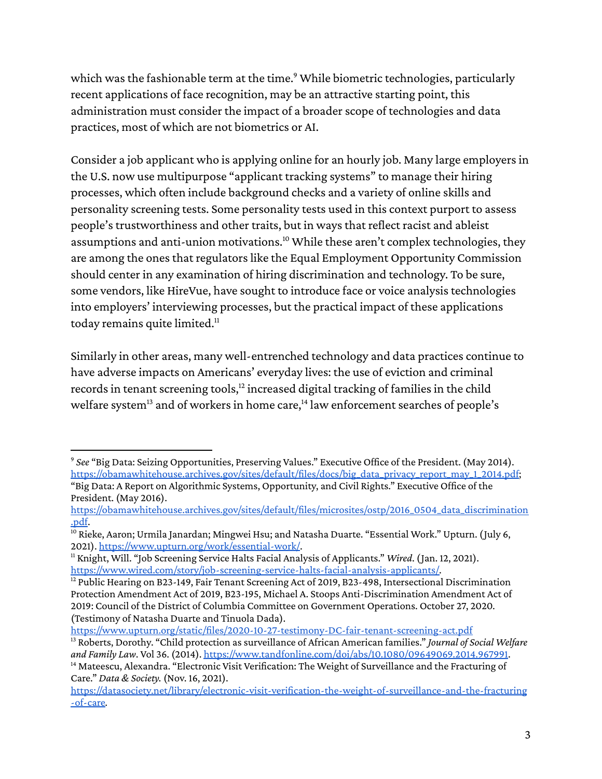which was the fashionable term at the time.<sup>9</sup> While biometric technologies, particularly recent applications of face recognition, may be an attractive starting point, this administration must consider the impact of a broader scope of technologies and data practices, most of which are not biometrics or AI.

Consider a job applicant who is applying online for an hourly job. Many large employersin the U.S. now use multipurpose "applicant tracking systems" to manage their hiring processes, which often include background checks and a variety of online skills and personality screening tests. Some personality tests used in this context purport to assess people's trustworthiness and other traits, but in ways that reflect racist and ableist assumptions and anti-union motivations. <sup>10</sup> While these aren't complex technologies, they are among the ones that regulators like the Equal Employment Opportunity Commission should center in any examination of hiring discrimination and technology. To be sure, some vendors, like HireVue, have sought to introduce face or voice analysis technologies into employers' interviewing processes, but the practical impact of these applications today remains quite limited.<sup>11</sup>

Similarly in other areas, many well-entrenched technology and data practices continue to have adverse impacts on Americans' everyday lives: the use of eviction and criminal records in tenant screening tools, $^{12}$  increased digital tracking of families in the child welfare system<sup>13</sup> and of workers in home care,<sup>14</sup> law enforcement searches of people's

<https://www.upturn.org/static/files/2020-10-27-testimony-DC-fair-tenant-screening-act.pdf>

<sup>9</sup> *See* "Big Data: Seizing Opportunities, Preserving Values." Executive Office of the President. (May 2014). [https://obamawhitehouse.archives.gov/sites/default/files/docs/big\\_data\\_privacy\\_report\\_may\\_1\\_2014.pdf;](https://obamawhitehouse.archives.gov/sites/default/files/docs/big_data_privacy_report_may_1_2014.pdf) "Big Data: A Report on Algorithmic Systems, Opportunity, and Civil Rights." Executive Office of the President. (May 2016).

[https://obamawhitehouse.archives.gov/sites/default/files/microsites/ostp/2016\\_0504\\_data\\_discrimination](https://obamawhitehouse.archives.gov/sites/default/files/microsites/ostp/2016_0504_data_discrimination.pdf) [.pdf](https://obamawhitehouse.archives.gov/sites/default/files/microsites/ostp/2016_0504_data_discrimination.pdf).

<sup>&</sup>lt;sup>10</sup> Rieke, Aaron; Urmila Janardan; Mingwei Hsu; and Natasha Duarte. "Essential Work." Upturn. (July 6, 2021). <https://www.upturn.org/work/essential-work/>.

<sup>11</sup> Knight, Will. "Job Screening Service Halts Facial Analysis of Applicants." *Wired*. (Jan. 12, 2021). [https://www.wired.com/story/job-screening-service-halts-facial-analysis-applicants/.](https://www.wired.com/story/job-screening-service-halts-facial-analysis-applicants/)

<sup>&</sup>lt;sup>12</sup> Public Hearing on B23-149, Fair Tenant Screening Act of 2019, B23-498, Intersectional Discrimination Protection Amendment Act of 2019, B23-195, Michael A. Stoops Anti-Discrimination Amendment Act of 2019: Council of the District of Columbia Committee on Government Operations. October 27, 2020. (Testimony of Natasha Duarte and Tinuola Dada).

<sup>&</sup>lt;sup>14</sup> Mateescu, Alexandra. "Electronic Visit Verification: The Weight of Surveillance and the Fracturing of Care." *Data & Society.* (Nov. 16, 2021). <sup>13</sup> Roberts, Dorothy. "Child protection assurveillance of African American families." *Journal of Social Welfare and Family Law*. Vol 36. (2014). [https://www.tandfonline.com/doi/abs/10.1080/09649069.2014.967991.](https://www.tandfonline.com/doi/abs/10.1080/09649069.2014.967991)

[https://datasociety.net/library/electronic-visit-verification-the-weight-of-surveillance-and-the-fracturing](https://datasociety.net/library/electronic-visit-verification-the-weight-of-surveillance-and-the-fracturing-of-care) [-of-care](https://datasociety.net/library/electronic-visit-verification-the-weight-of-surveillance-and-the-fracturing-of-care)*.*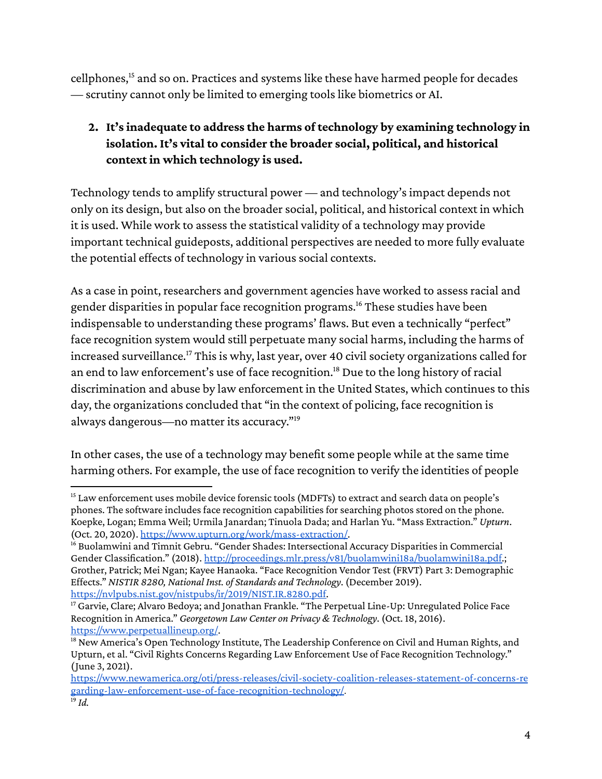cellphones, <sup>15</sup> and so on. Practices and systemslike these have harmed people for decades — scrutiny cannot only be limited to emerging toolslike biometrics or AI.

# **2. It's inadequate to address the harms of technology by examining technology in isolation. It's vital to consider the broader social, political, and historical context in which technology is used.**

Technology tends to amplify structural power — and technology's impact depends not only on its design, but also on the broader social, political, and historical context in which it is used. While work to assess the statistical validity of a technology may provide important technical guideposts, additional perspectives are needed to more fully evaluate the potential effects of technology in various social contexts.

As a case in point, researchers and government agencies have worked to assessracial and gender disparities in popular face recognition programs.<sup>16</sup> These studies have been indispensable to understanding these programs' flaws. But even a technically "perfect" face recognition system would still perpetuate many social harms, including the harms of increased surveillance.<sup>17</sup> This is why, last year, over 40 civil society organizations called for an end to law enforcement's use of face recognition. <sup>18</sup> Due to the long history of racial discrimination and abuse by law enforcement in the United States, which continuesto this day, the organizations concluded that "in the context of policing, face recognition is always dangerous—no matter its accuracy." 19

In other cases, the use of a technology may benefit some people while at the same time harming others. For example, the use of face recognition to verify the identities of people

<sup>&</sup>lt;sup>15</sup> Law enforcement uses mobile device forensic tools (MDFTs) to extract and search data on people's phones. The software includes face recognition capabilities for searching photos stored on the phone. Koepke, Logan; Emma Weil; Urmila Janardan; Tinuola Dada; and Harlan Yu. "Mass Extraction." *Upturn*. (Oct. 20, 2020). [https://www.upturn.org/work/mass-extraction/.](https://www.upturn.org/work/mass-extraction/)

<sup>&</sup>lt;sup>16</sup> Buolamwini and Timnit Gebru. "Gender Shades: Intersectional Accuracy Disparities in Commercial Gender Classification." (2018). [http://proceedings.mlr.press/v81/buolamwini18a/buolamwini18a.pdf.](http://proceedings.mlr.press/v81/buolamwini18a/buolamwini18a.pdf); Grother, Patrick; Mei Ngan; Kayee Hanaoka. "Face Recognition Vendor Test (FRVT) Part 3: Demographic Effects." *NISTIR 8280, National Inst. of Standards and Technology*. (December 2019). [https://nvlpubs.nist.gov/nistpubs/ir/2019/NIST.IR.8280.pdf.](https://nvlpubs.nist.gov/nistpubs/ir/2019/NIST.IR.8280.pdf)

<sup>&</sup>lt;sup>17</sup> Garvie, Clare; Alvaro Bedoya; and Jonathan Frankle. "The Perpetual Line-Up: Unregulated Police Face Recognition in America." *Georgetown Law Center on Privacy & Technology*. (Oct. 18, 2016). [https://www.perpetuallineup.org/.](https://www.perpetuallineup.org/)

<sup>&</sup>lt;sup>18</sup> New America's Open Technology Institute, The Leadership Conference on Civil and Human Rights, and Upturn, et al. "Civil Rights Concerns Regarding Law Enforcement Use of Face Recognition Technology." (June 3, 2021).

<sup>19</sup> *Id.* [https://www.newamerica.org/oti/press-releases/civil-society-coalition-releases-statement-of-concerns-re](https://www.newamerica.org/oti/press-releases/civil-society-coalition-releases-statement-of-concerns-regarding-law-enforcement-use-of-face-recognition-technology/) [garding-law-enforcement-use-of-face-recognition-technology/](https://www.newamerica.org/oti/press-releases/civil-society-coalition-releases-statement-of-concerns-regarding-law-enforcement-use-of-face-recognition-technology/).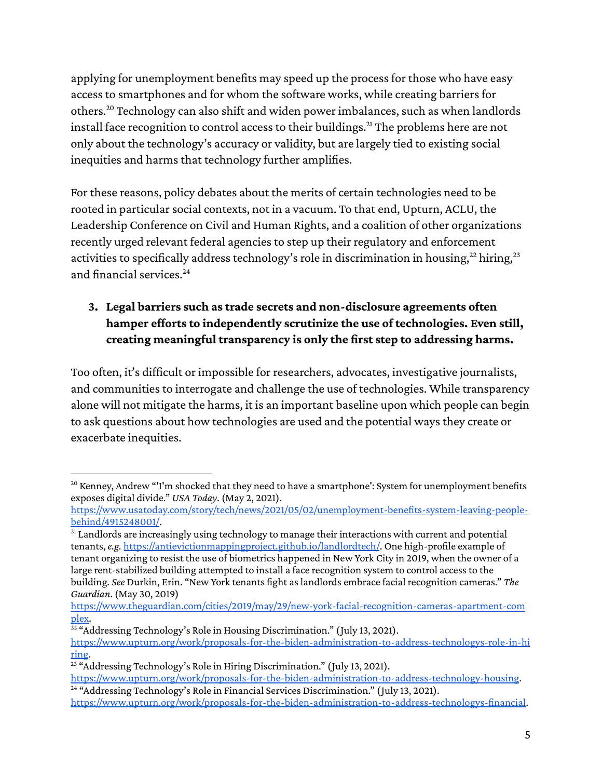applying for unemployment benefits may speed up the process for those who have easy access to smartphones and for whom the software works, while creating barriers for others.<sup>20</sup> Technology can also shift and widen power imbalances, such as when landlords install face recognition to control access to their buildings.<sup>21</sup> The problems here are not only about the technology's accuracy or validity, but are largely tied to existing social inequities and harms that technology further amplifies.

For these reasons, policy debates about the merits of certain technologies need to be rooted in particular social contexts, not in a vacuum. To that end, Upturn, ACLU, the Leadership Conference on Civil and Human Rights, and a coalition of other organizations recently urged relevant federal agencies to step up their regulatory and enforcement activities to specifically address technology's role in discrimination in housing,<sup>22</sup> hiring,<sup>23</sup> and financial services.<sup>24</sup>

# **3. Legal barriers such as trade secrets and non-disclosure agreements often hamper efforts to independently scrutinize the use of technologies. Even still, creating meaningful transparency is only the first step to addressing harms.**

Too often, it's difficult or impossible for researchers, advocates, investigative journalists, and communities to interrogate and challenge the use of technologies. While transparency alone will not mitigate the harms, it is an important baseline upon which people can begin to ask questions about how technologies are used and the potential waysthey create or exacerbate inequities.

<sup>&</sup>lt;sup>20</sup> Kenney, Andrew "<sup>I'</sup>m shocked that they need to have a smartphone': System for unemployment benefits exposes digital divide." *USA Today*. (May 2, 2021).

[https://www.usatoday.com/story/tech/news/2021/05/02/unemployment-benefits-system-leaving-people](https://www.usatoday.com/story/tech/news/2021/05/02/unemployment-benefits-system-leaving-people-behind/4915248001/)[behind/4915248001/](https://www.usatoday.com/story/tech/news/2021/05/02/unemployment-benefits-system-leaving-people-behind/4915248001/).

<sup>&</sup>lt;sup>21</sup> Landlords are increasingly using technology to manage their interactions with current and potential tenants,*e.g.* [https://antievictionmappingproject.github.io/landlordtech/.](https://antievictionmappingproject.github.io/landlordtech/) One high-profile example of tenant organizing to resist the use of biometrics happened in New York City in 2019, when the owner of a large rent-stabilized building attempted to install a face recognition system to control access to the building. *See* Durkin, Erin. "New York tenants fight aslandlords embrace facial recognition cameras." *The Guardian*. (May 30, 2019)

[https://www.theguardian.com/cities/2019/may/29/new-york-facial-recognition-cameras-apartment-com](https://www.theguardian.com/cities/2019/may/29/new-york-facial-recognition-cameras-apartment-complex) [plex.](https://www.theguardian.com/cities/2019/may/29/new-york-facial-recognition-cameras-apartment-complex)

 $22$  "Addressing Technology's Role in Housing Discrimination." (July 13, 2021). [https://www.upturn.org/work/proposals-for-the-biden-administration-to-address-technologys-role-in-hi](https://www.upturn.org/work/proposals-for-the-biden-administration-to-address-technologys-role-in-hiring/) [ring](https://www.upturn.org/work/proposals-for-the-biden-administration-to-address-technologys-role-in-hiring/).

<sup>&</sup>lt;sup>23</sup> "Addressing Technology's Role in Hiring Discrimination." (July 13, 2021). [https://www.upturn.org/work/proposals-for-the-biden-administration-to-address-technology-housing](https://www.upturn.org/work/proposals-for-the-biden-administration-to-address-technology-housing/).

<sup>&</sup>lt;sup>24</sup> "Addressing Technology's Role in Financial Services Discrimination." (July 13, 2021). [https://www.upturn.org/work/proposals-for-the-biden-administration-to-address-technologys-financial](https://www.upturn.org/work/proposals-for-the-biden-administration-to-address-technologys-financial/).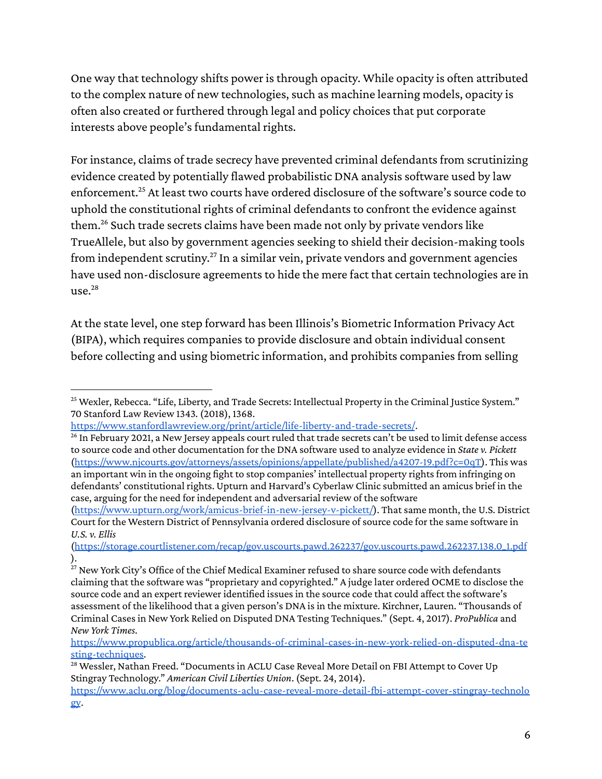One way that technology shifts power is through opacity. While opacity is often attributed to the complex nature of new technologies, such as machine learning models, opacity is often also created or furthered through legal and policy choices that put corporate interests above people's fundamental rights.

For instance, claims of trade secrecy have prevented criminal defendants from scrutinizing evidence created by potentially flawed probabilistic DNA analysis software used by law enforcement.<sup>25</sup> At least two courts have ordered disclosure of the software's source code to uphold the constitutional rights of criminal defendants to confront the evidence against them.<sup>26</sup> Such trade secrets claims have been made not only by private vendors like TrueAllele, but also by government agencies seeking to shield their decision-making tools from independent scrutiny.<sup>27</sup> In a similar vein, private vendors and government agencies have used non-disclosure agreements to hide the mere fact that certain technologies are in use. 28

At the state level, one step forward has been Illinois's Biometric Information Privacy Act (BIPA), which requires companiesto provide disclosure and obtain individual consent before collecting and using biometric information, and prohibits companies from selling

<sup>&</sup>lt;sup>25</sup> Wexler, Rebecca. "Life, Liberty, and Trade Secrets: Intellectual Property in the Criminal Justice System." 70 Stanford Law Review 1343. (2018), 1368.

<https://www.stanfordlawreview.org/print/article/life-liberty-and-trade-secrets/>.

 $^{26}$  In February 2021, a New Jersey appeals court ruled that trade secrets can't be used to limit defense access to source code and other documentation for the DNA software used to analyze evidence in *State v. Pickett* ([https://www.njcourts.gov/attorneys/assets/opinions/appellate/published/a4207-19.pdf?c=0qT\)](https://www.njcourts.gov/attorneys/assets/opinions/appellate/published/a4207-19.pdf?c=0qT). This was an important win in the ongoing fight to stop companies' intellectual property rights from infringing on defendants' constitutional rights. Upturn and Harvard's Cyberlaw Clinic submitted an amicus brief in the case, arguing for the need for independent and adversarial review of the software

<sup>(</sup>[https://www.upturn.org/work/amicus-brief-in-new-jersey-v-pickett/\)](https://www.upturn.org/work/amicus-brief-in-new-jersey-v-pickett/). That same month, the U.S. District Court for the Western District of Pennsylvania ordered disclosure ofsource code for the same software in *U.S. v. Ellis*

<sup>(</sup>[https://storage.courtlistener.com/recap/gov.uscourts.pawd.262237/gov.uscourts.pawd.262237.138.0\\_1.pdf](https://storage.courtlistener.com/recap/gov.uscourts.pawd.262237/gov.uscourts.pawd.262237.138.0_1.pdf) ).

 $^{27}$  New York City's Office of the Chief Medical Examiner refused to share source code with defendants claiming that the software was "proprietary and copyrighted." A judge later ordered OCME to disclose the source code and an expert reviewer identified issuesin the source code that could affect the software's assessment of the likelihood that a given person's DNA is in the mixture. Kirchner, Lauren. "Thousands of Criminal Casesin New York Relied on Disputed DNA Testing Techniques." (Sept. 4, 2017). *ProPublica* and *New York Times*.

[https://www.propublica.org/article/thousands-of-criminal-cases-in-new-york-relied-on-disputed-dna-te](https://www.propublica.org/article/thousands-of-criminal-cases-in-new-york-relied-on-disputed-dna-testing-techniques) [sting-techniques](https://www.propublica.org/article/thousands-of-criminal-cases-in-new-york-relied-on-disputed-dna-testing-techniques).

<sup>&</sup>lt;sup>28</sup> Wessler, Nathan Freed. "Documents in ACLU Case Reveal More Detail on FBI Attempt to Cover Up Stingray Technology." *American Civil Liberties Union*. (Sept. 24, 2014).

[https://www.aclu.org/blog/documents-aclu-case-reveal-more-detail-fbi-attempt-cover-stingray-technolo](https://www.aclu.org/blog/documents-aclu-case-reveal-more-detail-fbi-attempt-cover-stingray-technology) [gy](https://www.aclu.org/blog/documents-aclu-case-reveal-more-detail-fbi-attempt-cover-stingray-technology).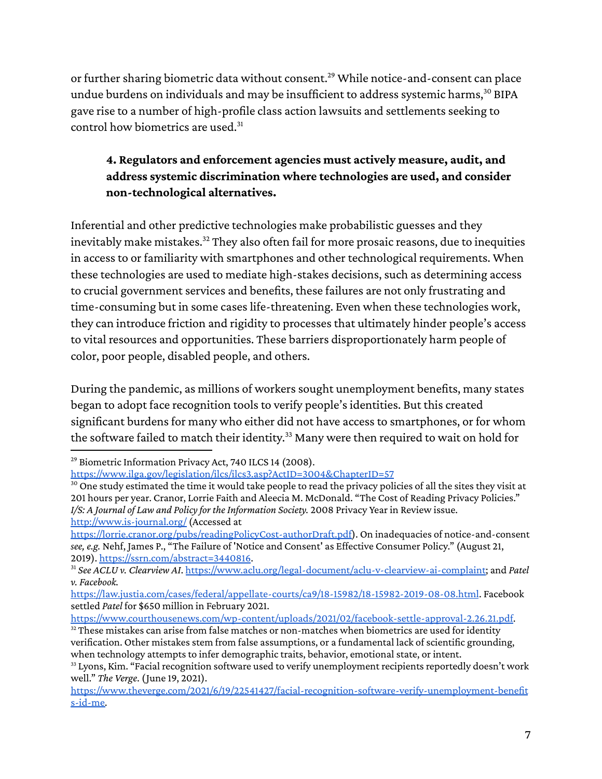or further sharing biometric data without consent.<sup>29</sup> While notice-and-consent can place undue burdens on individuals and may be insufficient to address systemic harms, $^{\rm 30}$  BIPA gave rise to a number of high-profile class action lawsuits and settlements seeking to control how biometrics are used.<sup>31</sup>

#### **4. Regulators and enforcement agencies must actively measure, audit, and address systemic discrimination where technologies are used, and consider non-technological alternatives.**

Inferential and other predictive technologies make probabilistic guesses and they inevitably make mistakes. <sup>32</sup> They also often fail for more prosaic reasons, due to inequities in accessto or familiarity with smartphones and other technological requirements. When these technologies are used to mediate high-stakes decisions, such as determining access to crucial government services and benefits, these failures are not only frustrating and time-consuming but in some caseslife-threatening. Even when these technologies work, they can introduce friction and rigidity to processes that ultimately hinder people's access to vital resources and opportunities. These barriers disproportionately harm people of color, poor people, disabled people, and others.

During the pandemic, as millions of workers sought unemployment benefits, many states began to adopt face recognition tools to verify people's identities. But this created significant burdens for many who either did not have access to smartphones, or for whom the software failed to match their identity. <sup>33</sup> Many were then required to wait on hold for

<sup>&</sup>lt;sup>29</sup> Biometric Information Privacy Act, 740 ILCS 14 (2008). <https://www.ilga.gov/legislation/ilcs/ilcs3.asp?ActID=3004&ChapterID=57>

<sup>&</sup>lt;sup>30</sup> One study estimated the time it would take people to read the privacy policies of all the sites they visit at 201 hours per year. Cranor, Lorrie Faith and Aleecia M. McDonald. "The Cost of Reading Privacy Policies." *I/S: A Journal of Law and Policy for theInformation Society.* 2008 Privacy Year in Review issue. <http://www.is-journal.org/> (Accessed at

[https://lorrie.cranor.org/pubs/readingPolicyCost-authorDraft.pdf\)](https://lorrie.cranor.org/pubs/readingPolicyCost-authorDraft.pdf). On inadequacies of notice-and-consent *see,e.g.* Nehf, James P., "The Failure of 'Notice and Consent' as Effective Consumer Policy." (August 21, 2019). <https://ssrn.com/abstract=3440816>.

<sup>31</sup> *See ACLU v. Clearview AI*. <https://www.aclu.org/legal-document/aclu-v-clearview-ai-complaint>; and *Patel v. Facebook.*

<https://law.justia.com/cases/federal/appellate-courts/ca9/18-15982/18-15982-2019-08-08.html>. Facebook settled *Patel* for \$650 million in February 2021.

<sup>&</sup>lt;sup>32</sup> These mistakes can arise from false matches or non-matches when biometrics are used for identity <https://www.courthousenews.com/wp-content/uploads/2021/02/facebook-settle-approval-2.26.21.pdf>.

verification. Other mistakes stem from false assumptions, or a fundamental lack of scientific grounding, when technology attempts to infer demographic traits, behavior, emotional state, or intent.

<sup>&</sup>lt;sup>33</sup> Lyons, Kim. "Facial recognition software used to verify unemployment recipients reportedly doesn't work well." *The Verge*. (June 19, 2021).

[https://www.theverge.com/2021/6/19/22541427/facial-recognition-software-verify-unemployment-benefit](https://www.theverge.com/2021/6/19/22541427/facial-recognition-software-verify-unemployment-benefits-id-me) [s-id-me.](https://www.theverge.com/2021/6/19/22541427/facial-recognition-software-verify-unemployment-benefits-id-me)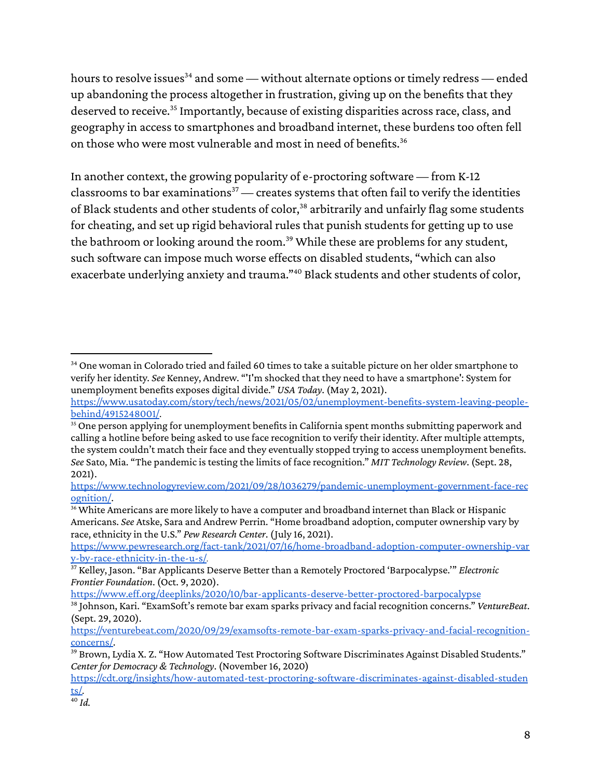hours to resolve issues $^{34}$  and some — without alternate options or timely redress — ended up abandoning the process altogether in frustration, giving up on the benefits that they deserved to receive. 35 Importantly, because of existing disparities acrossrace, class, and geography in accessto smartphones and broadband internet, these burdenstoo often fell on those who were most vulnerable and most in need of benefits. 36

In another context, the growing popularity of e-proctoring software — from K-12 classrooms to bar examinations $37$  — creates systems that often fail to verify the identities of Black students and other students of color,<sup>38</sup> arbitrarily and unfairly flag some students for cheating, and set up rigid behavioral rules that punish students for getting up to use the bathroom or looking around the room.<sup>39</sup> While these are problems for any student, such software can impose much worse effects on disabled students, "which can also exacerbate underlying anxiety and trauma."<sup>40</sup> Black students and other students of color,

<https://www.eff.org/deeplinks/2020/10/bar-applicants-deserve-better-proctored-barpocalypse>

 $34$  One woman in Colorado tried and failed 60 times to take a suitable picture on her older smartphone to verify her identity. *See* Kenney, Andrew. "'I'm shocked that they need to have a smartphone': System for unemployment benefits exposes digital divide." *USA Today*. (May 2, 2021). [https://www.usatoday.com/story/tech/news/2021/05/02/unemployment-benefits-system-leaving-people-](https://www.usatoday.com/story/tech/news/2021/05/02/unemployment-benefits-system-leaving-people-behind/4915248001/)

[behind/4915248001/](https://www.usatoday.com/story/tech/news/2021/05/02/unemployment-benefits-system-leaving-people-behind/4915248001/).

<sup>&</sup>lt;sup>35</sup> One person applying for unemployment benefits in California spent months submitting paperwork and calling a hotline before being asked to use face recognition to verify their identity. After multiple attempts, the system couldn't match their face and they eventually stopped trying to access unemployment benefits. *See* Sato, Mia. "The pandemic istesting the limits of face recognition." *MIT Technology Review*. (Sept. 28, 2021).

[https://www.technologyreview.com/2021/09/28/1036279/pandemic-unemployment-government-face-rec](https://www.technologyreview.com/2021/09/28/1036279/pandemic-unemployment-government-face-recognition/) [ognition/](https://www.technologyreview.com/2021/09/28/1036279/pandemic-unemployment-government-face-recognition/).

<sup>36</sup> White Americans are more likely to have a computer and broadband internet than Black or Hispanic Americans. *See* Atske, Sara and Andrew Perrin. "Home broadband adoption, computer ownership vary by race, ethnicity in the U.S." *Pew Research Center*. (July 16, 2021).

[https://www.pewresearch.org/fact-tank/2021/07/16/home-broadband-adoption-computer-ownership-var](https://www.pewresearch.org/fact-tank/2021/07/16/home-broadband-adoption-computer-ownership-vary-by-race-ethnicity-in-the-u-s/) [y-by-race-ethnicity-in-the-u-s/](https://www.pewresearch.org/fact-tank/2021/07/16/home-broadband-adoption-computer-ownership-vary-by-race-ethnicity-in-the-u-s/).

<sup>37</sup> Kelley, Jason. "Bar Applicants Deserve Better than a Remotely Proctored 'Barpocalypse.'" *Electronic Frontier Foundation*. (Oct. 9, 2020).

<sup>38</sup> Johnson, Kari. "ExamSoft'sremote bar exam sparks privacy and facial recognition concerns." *VentureBeat*. (Sept. 29, 2020).

[https://venturebeat.com/2020/09/29/examsofts-remote-bar-exam-sparks-privacy-and-facial-recognition](https://venturebeat.com/2020/09/29/examsofts-remote-bar-exam-sparks-privacy-and-facial-recognition-concerns/)[concerns/.](https://venturebeat.com/2020/09/29/examsofts-remote-bar-exam-sparks-privacy-and-facial-recognition-concerns/)

<sup>&</sup>lt;sup>39</sup> Brown, Lydia X. Z. "How Automated Test Proctoring Software Discriminates Against Disabled Students." *Center for Democracy & Technology*. (November 16, 2020)

[https://cdt.org/insights/how-automated-test-proctoring-software-discriminates-against-disabled-studen](https://cdt.org/insights/how-automated-test-proctoring-software-discriminates-against-disabled-students/) [ts/](https://cdt.org/insights/how-automated-test-proctoring-software-discriminates-against-disabled-students/).

<sup>40</sup> *Id.*